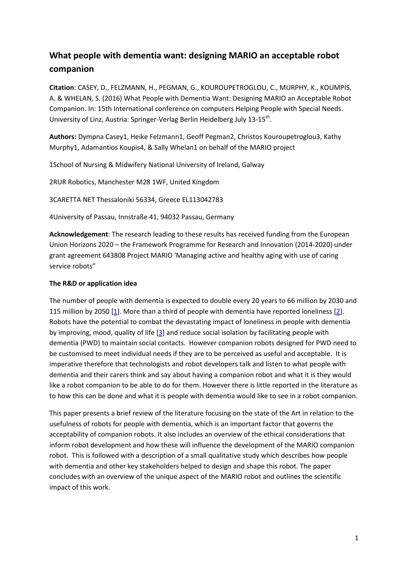# **What people with dementia want: designing MARIO an acceptable robot companion**

**Citation**: CASEY, D., FELZMANN, H., PEGMAN, G., KOUROUPETROGLOU, C., MURPHY, K., KOUMPIS, A. & WHELAN, S. (2016) What People with Dementia Want: Designing MARIO an Acceptable Robot Companion. In: 15th International conference on computers Helping People with Special Needs. University of Linz, Austria: Springer-Verlag Berlin Heidelberg July 13-15<sup>th</sup>.

**Authors:** Dympna Casey1, Heike Felzmann1, Geoff Pegman2, Christos Kouroupetroglou3, Kathy Murphy1, Adamantios Koupis4, & Sally Whelan1 on behalf of the MARIO project

1School of Nursing & Midwifery National University of Ireland, Galway

2RUR Robotics, Manchester M28 1WF, United Kingdom

3CARETTA NET Thessaloniki 56334, Greece EL113042783

4University of Passau, Innstraße 41, 94032 Passau, Germany

**Acknowledgement**: The research leading to these results has received funding from the European Union Horizons 2020 – the Framework Programme for Research and Innovation (2014-2020) under grant agreement 643808 Project MARIO 'Managing active and healthy aging with use of caring service robots"

#### **The R&D or application idea**

The number of people with dementia is expected to double every 20 years to 66 million by 2030 and 115 million by 2050 [\[1\]](#page-8-0). More than a third of people with dementia have reported loneliness [\[2\]](#page-8-1). Robots have the potential to combat the devastating impact of loneliness in people with dementia by improving, mood, quality of life [\[3\]](#page-8-2) and reduce social isolation by facilitating people with dementia (PWD) to maintain social contacts. However companion robots designed for PWD need to be customised to meet individual needs if they are to be perceived as useful and acceptable. It is imperative therefore that technologists and robot developers talk and listen to what people with dementia and their carers think and say about having a companion robot and what it is they would like a robot companion to be able to do for them. However there is little reported in the literature as to how this can be done and what it is people with dementia would like to see in a robot companion.

This paper presents a brief review of the literature focusing on the state of the Art in relation to the usefulness of robots for people with dementia, which is an important factor that governs the acceptability of companion robots. It also includes an overview of the ethical considerations that inform robot development and how these will influence the development of the MARIO companion robot. This is followed with a description of a small qualitative study which describes how people with dementia and other key stakeholders helped to design and shape this robot. The paper concludes with an overview of the unique aspect of the MARIO robot and outlines the scientific impact of this work.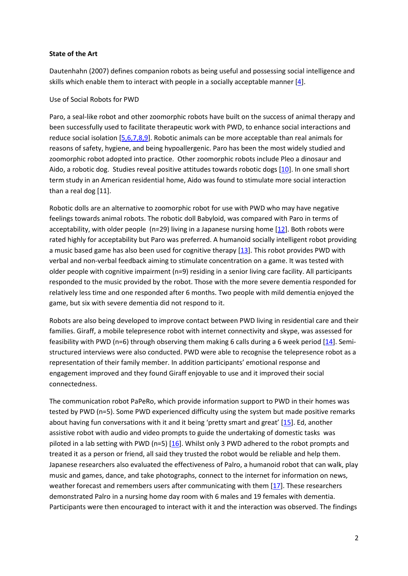#### **State of the Art**

Dautenhahn (2007) defines companion robots as being useful and possessing social intelligence and skills which enable them to interact with people in a socially acceptable manner [\[4\]](#page-8-3).

Use of Social Robots for PWD

Paro, a seal-like robot and other zoomorphic robots have built on the success of animal therapy and been successfully used to facilitate therapeutic work with PWD, to enhance social interactions and reduce social isolation [\[5,6,7,8,9\]](#page-8-4). Robotic animals can be more acceptable than real animals for reasons of safety, hygiene, and being hypoallergenic. Paro has been the most widely studied and zoomorphic robot adopted into practice. Other zoomorphic robots include Pleo a dinosaur and Aido, a robotic dog. Studies reveal positive attitudes towards robotic dogs [\[10\]](#page-9-0). In one small short term study in an American residential home, Aido was found to stimulate more social interaction than a real dog [11].

Robotic dolls are an alternative to zoomorphic robot for use with PWD who may have negative feelings towards animal robots. The robotic doll Babyloid, was compared with Paro in terms of acceptability, with older people (n=29) living in a Japanese nursing home [\[12\]](#page-9-1). Both robots were rated highly for acceptability but Paro was preferred. A humanoid socially intelligent robot providing a music based game has also been used for cognitive therapy [\[13\]](#page-9-2). This robot provides PWD with verbal and non-verbal feedback aiming to stimulate concentration on a game. It was tested with older people with cognitive impairment (n=9) residing in a senior living care facility. All participants responded to the music provided by the robot. Those with the more severe dementia responded for relatively less time and one responded after 6 months. Two people with mild dementia enjoyed the game, but six with severe dementia did not respond to it.

Robots are also being developed to improve contact between PWD living in residential care and their families. Giraff, a mobile telepresence robot with internet connectivity and skype, was assessed for feasibility with PWD (n=6) through observing them making 6 calls during a 6 week period  $[14]$ . Semistructured interviews were also conducted. PWD were able to recognise the telepresence robot as a representation of their family member. In addition participants' emotional response and engagement improved and they found Giraff enjoyable to use and it improved their social connectedness.

The communication robot PaPeRo, which provide information support to PWD in their homes was tested by PWD (n=5). Some PWD experienced difficulty using the system but made positive remarks about having fun conversations with it and it being 'pretty smart and great' [\[15\]](#page-9-4). Ed, another assistive robot with audio and video prompts to guide the undertaking of domestic tasks was piloted in a lab setting with PWD (n=5)  $[16]$ . Whilst only 3 PWD adhered to the robot prompts and treated it as a person or friend, all said they trusted the robot would be reliable and help them. Japanese researchers also evaluated the effectiveness of Palro, a humanoid robot that can walk, play music and games, dance, and take photographs, connect to the internet for information on news, weather forecast and remembers users after communicating with them [\[17\]](#page-9-6). These researchers demonstrated Palro in a nursing home day room with 6 males and 19 females with dementia. Participants were then encouraged to interact with it and the interaction was observed. The findings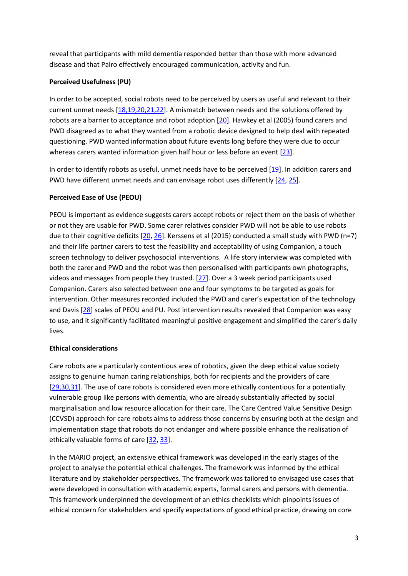reveal that participants with mild dementia responded better than those with more advanced disease and that Palro effectively encouraged communication, activity and fun.

# **Perceived Usefulness (PU)**

In order to be accepted, social robots need to be perceived by users as useful and relevant to their current unmet needs [\[18,19,20,21,22\]](#page-9-7). A mismatch between needs and the solutions offered by robots are a barrier to acceptance and robot adoption [\[20\]](#page-9-8). Hawkey et al (2005) found carers and PWD disagreed as to what they wanted from a robotic device designed to help deal with repeated questioning. PWD wanted information about future events long before they were due to occur whereas carers wanted information given half hour or less before an event [\[23\]](#page-10-0).

In order to identify robots as useful, unmet needs have to be perceived [\[19\]](#page-9-9). In addition carers and PWD have different unmet needs and can envisage robot uses differently [\[24,](#page-10-1) [25\]](#page-10-2).

# **Perceived Ease of Use (PEOU)**

PEOU is important as evidence suggests carers accept robots or reject them on the basis of whether or not they are usable for PWD. Some carer relatives consider PWD will not be able to use robots due to their cognitive deficits [\[20,](#page-9-8) [26\]](#page-10-3). Kerssens et al (2015) conducted a small study with PWD (n=7) and their life partner carers to test the feasibility and acceptability of using Companion, a touch screen technology to deliver psychosocial interventions. A life story interview was completed with both the carer and PWD and the robot was then personalised with participants own photographs, videos and messages from people they trusted. [\[27\]](#page-10-4). Over a 3 week period participants used Companion. Carers also selected between one and four symptoms to be targeted as goals for intervention. Other measures recorded included the PWD and carer's expectation of the technology and Davis [\[28\]](#page-10-5) scales of PEOU and PU. Post intervention results revealed that Companion was easy to use, and it significantly facilitated meaningful positive engagement and simplified the carer's daily lives.

## **Ethical considerations**

Care robots are a particularly contentious area of robotics, given the deep ethical value society assigns to genuine human caring relationships, both for recipients and the providers of care [\[29,30,31\]](#page-10-6). The use of care robots is considered even more ethically contentious for a potentially vulnerable group like persons with dementia, who are already substantially affected by social marginalisation and low resource allocation for their care. The Care Centred Value Sensitive Design (CCVSD) approach for care robots aims to address those concerns by ensuring both at the design and implementation stage that robots do not endanger and where possible enhance the realisation of ethically valuable forms of care [\[32,](#page-10-7) [33\]](#page-10-8).

In the MARIO project, an extensive ethical framework was developed in the early stages of the project to analyse the potential ethical challenges. The framework was informed by the ethical literature and by stakeholder perspectives. The framework was tailored to envisaged use cases that were developed in consultation with academic experts, formal carers and persons with dementia. This framework underpinned the development of an ethics checklists which pinpoints issues of ethical concern for stakeholders and specify expectations of good ethical practice, drawing on core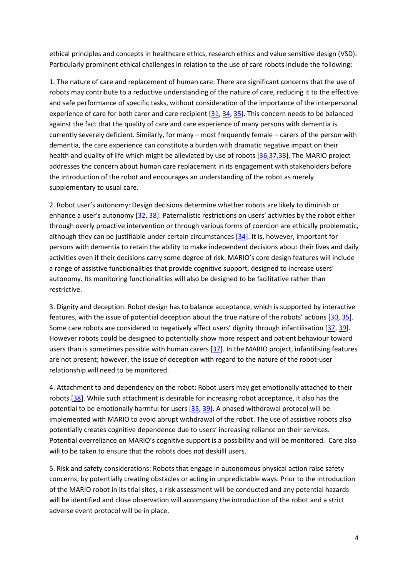ethical principles and concepts in healthcare ethics, research ethics and value sensitive design (VSD). Particularly prominent ethical challenges in relation to the use of care robots include the following:

1. The nature of care and replacement of human care: There are significant concerns that the use of robots may contribute to a reductive understanding of the nature of care, reducing it to the effective and safe performance of specific tasks, without consideration of the importance of the interpersonal experience of care for both carer and care recipient [\[31,](#page-10-9) [34,](#page-10-10) [35\]](#page-10-11). This concern needs to be balanced against the fact that the quality of care and care experience of many persons with dementia is currently severely deficient. Similarly, for many – most frequently female – carers of the person with dementia, the care experience can constitute a burden with dramatic negative impact on their health and quality of life which might be alleviated by use of robots [\[36,37,38\]](#page-10-12). The MARIO project addresses the concern about human care replacement in its engagement with stakeholders before the introduction of the robot and encourages an understanding of the robot as merely supplementary to usual care.

2. Robot user's autonomy: Design decisions determine whether robots are likely to diminish or enhance a user's autonomy [\[32,](#page-10-7) [38\]](#page-10-13). Paternalistic restrictions on users' activities by the robot either through overly proactive intervention or through various forms of coercion are ethically problematic, although they can be justifiable under certain circumstances [\[34\]](#page-10-10). It is, however, important for persons with dementia to retain the ability to make independent decisions about their lives and daily activities even if their decisions carry some degree of risk. MARIO's core design features will include a range of assistive functionalities that provide cognitive support, designed to increase users' autonomy. Its monitoring functionalities will also be designed to be facilitative rather than restrictive.

3. Dignity and deception. Robot design has to balance acceptance, which is supported by interactive features, with the issue of potential deception about the true nature of the robots' actions [\[30,](#page-10-14) [35\]](#page-10-11). Some care robots are considered to negatively affect users' dignity through infantilisation [\[37,](#page-10-15) [39\]](#page-11-0). However robots could be designed to potentially show more respect and patient behaviour toward users than is sometimes possible with human carers [\[37\]](#page-10-15). In the MARIO project, infantilising features are not present; however, the issue of deception with regard to the nature of the robot-user relationship will need to be monitored.

4. Attachment to and dependency on the robot: Robot users may get emotionally attached to their robots [\[38\]](#page-10-13). While such attachment is desirable for increasing robot acceptance, it also has the potential to be emotionally harmful for users [\[35,](#page-10-11) [39\]](#page-11-0). A phased withdrawal protocol will be implemented with MARIO to avoid abrupt withdrawal of the robot. The use of assistive robots also potentially creates cognitive dependence due to users' increasing reliance on their services. Potential overreliance on MARIO's cognitive support is a possibility and will be monitored. Care also will to be taken to ensure that the robots does not deskilll users.

5. Risk and safety considerations: Robots that engage in autonomous physical action raise safety concerns, by potentially creating obstacles or acting in unpredictable ways. Prior to the introduction of the MARIO robot in its trial sites, a risk assessment will be conducted and any potential hazards will be identified and close observation will accompany the introduction of the robot and a strict adverse event protocol will be in place.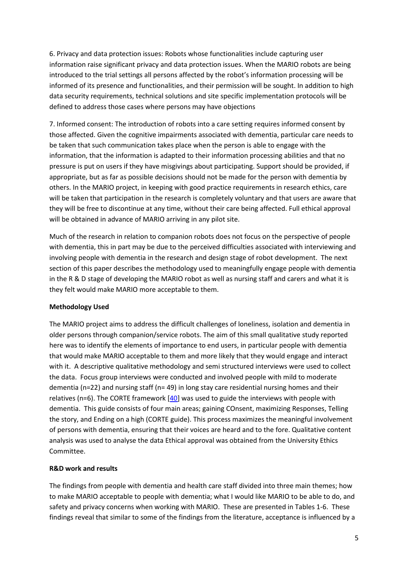6. Privacy and data protection issues: Robots whose functionalities include capturing user information raise significant privacy and data protection issues. When the MARIO robots are being introduced to the trial settings all persons affected by the robot's information processing will be informed of its presence and functionalities, and their permission will be sought. In addition to high data security requirements, technical solutions and site specific implementation protocols will be defined to address those cases where persons may have objections

7. Informed consent: The introduction of robots into a care setting requires informed consent by those affected. Given the cognitive impairments associated with dementia, particular care needs to be taken that such communication takes place when the person is able to engage with the information, that the information is adapted to their information processing abilities and that no pressure is put on users if they have misgivings about participating. Support should be provided, if appropriate, but as far as possible decisions should not be made for the person with dementia by others. In the MARIO project, in keeping with good practice requirements in research ethics, care will be taken that participation in the research is completely voluntary and that users are aware that they will be free to discontinue at any time, without their care being affected. Full ethical approval will be obtained in advance of MARIO arriving in any pilot site.

Much of the research in relation to companion robots does not focus on the perspective of people with dementia, this in part may be due to the perceived difficulties associated with interviewing and involving people with dementia in the research and design stage of robot development. The next section of this paper describes the methodology used to meaningfully engage people with dementia in the R & D stage of developing the MARIO robot as well as nursing staff and carers and what it is they felt would make MARIO more acceptable to them.

## **Methodology Used**

The MARIO project aims to address the difficult challenges of loneliness, isolation and dementia in older persons through companion/service robots. The aim of this small qualitative study reported here was to identify the elements of importance to end users, in particular people with dementia that would make MARIO acceptable to them and more likely that they would engage and interact with it. A descriptive qualitative methodology and semi structured interviews were used to collect the data. Focus group interviews were conducted and involved people with mild to moderate dementia (n=22) and nursing staff (n= 49) in long stay care residential nursing homes and their relatives ( $n=6$ ). The CORTE framework  $[40]$  was used to guide the interviews with people with dementia. This guide consists of four main areas; gaining COnsent, maximizing Responses, Telling the story, and Ending on a high (CORTE guide). This process maximizes the meaningful involvement of persons with dementia, ensuring that their voices are heard and to the fore. Qualitative content analysis was used to analyse the data Ethical approval was obtained from the University Ethics Committee.

## **R&D work and results**

The findings from people with dementia and health care staff divided into three main themes; how to make MARIO acceptable to people with dementia; what I would like MARIO to be able to do, and safety and privacy concerns when working with MARIO. These are presented in Tables 1-6. These findings reveal that similar to some of the findings from the literature, acceptance is influenced by a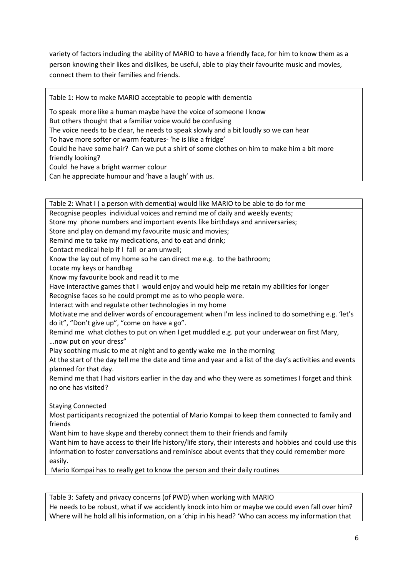variety of factors including the ability of MARIO to have a friendly face, for him to know them as a person knowing their likes and dislikes, be useful, able to play their favourite music and movies, connect them to their families and friends.

Table 1: How to make MARIO acceptable to people with dementia

To speak more like a human maybe have the voice of someone I know But others thought that a familiar voice would be confusing The voice needs to be clear, he needs to speak slowly and a bit loudly so we can hear To have more softer or warm features- 'he is like a fridge' Could he have some hair? Can we put a shirt of some clothes on him to make him a bit more friendly looking? Could he have a bright warmer colour

Can he appreciate humour and 'have a laugh' with us.

Table 2: What I ( a person with dementia) would like MARIO to be able to do for me Recognise peoples individual voices and remind me of daily and weekly events; Store my phone numbers and important events like birthdays and anniversaries; Store and play on demand my favourite music and movies; Remind me to take my medications, and to eat and drink; Contact medical help if I fall or am unwell; Know the lay out of my home so he can direct me e.g. to the bathroom; Locate my keys or handbag Know my favourite book and read it to me Have interactive games that I would enjoy and would help me retain my abilities for longer Recognise faces so he could prompt me as to who people were. Interact with and regulate other technologies in my home Motivate me and deliver words of encouragement when I'm less inclined to do something e.g. 'let's do it", "Don't give up", "come on have a go". Remind me what clothes to put on when I get muddled e.g. put your underwear on first Mary, …now put on your dress" Play soothing music to me at night and to gently wake me in the morning At the start of the day tell me the date and time and year and a list of the day's activities and events planned for that day. Remind me that I had visitors earlier in the day and who they were as sometimes I forget and think no one has visited? Staying Connected Most participants recognized the potential of Mario Kompai to keep them connected to family and friends Want him to have skype and thereby connect them to their friends and family Want him to have access to their life history/life story, their interests and hobbies and could use this information to foster conversations and reminisce about events that they could remember more easily. Mario Kompai has to really get to know the person and their daily routines

Table 3: Safety and privacy concerns (of PWD) when working with MARIO He needs to be robust, what if we accidently knock into him or maybe we could even fall over him? Where will he hold all his information, on a 'chip in his head? 'Who can access my information that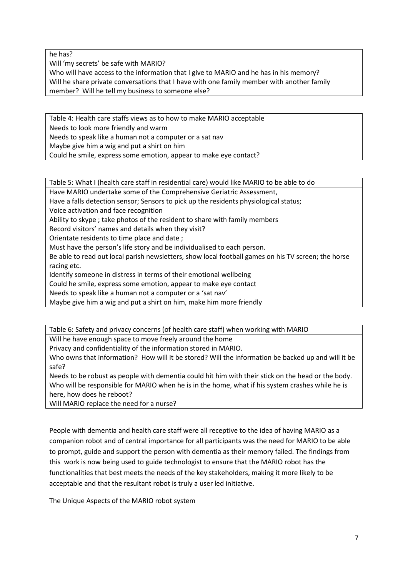he has?

Will 'my secrets' be safe with MARIO?

Who will have access to the information that I give to MARIO and he has in his memory? Will he share private conversations that I have with one family member with another family member? Will he tell my business to someone else?

Table 4: Health care staffs views as to how to make MARIO acceptable Needs to look more friendly and warm Needs to speak like a human not a computer or a sat nav Maybe give him a wig and put a shirt on him Could he smile, express some emotion, appear to make eye contact?

Table 5: What I (health care staff in residential care) would like MARIO to be able to do

Have MARIO undertake some of the Comprehensive Geriatric Assessment,

Have a falls detection sensor; Sensors to pick up the residents physiological status;

Voice activation and face recognition

Ability to skype ; take photos of the resident to share with family members

Record visitors' names and details when they visit?

Orientate residents to time place and date ;

Must have the person's life story and be individualised to each person.

Be able to read out local parish newsletters, show local football games on his TV screen; the horse racing etc.

Identify someone in distress in terms of their emotional wellbeing

Could he smile, express some emotion, appear to make eye contact

Needs to speak like a human not a computer or a 'sat nav'

Maybe give him a wig and put a shirt on him, make him more friendly

Table 6: Safety and privacy concerns (of health care staff) when working with MARIO

Will he have enough space to move freely around the home

Privacy and confidentiality of the information stored in MARIO.

Who owns that information? How will it be stored? Will the information be backed up and will it be safe?

Needs to be robust as people with dementia could hit him with their stick on the head or the body. Who will be responsible for MARIO when he is in the home, what if his system crashes while he is here, how does he reboot?

Will MARIO replace the need for a nurse?

People with dementia and health care staff were all receptive to the idea of having MARIO as a companion robot and of central importance for all participants was the need for MARIO to be able to prompt, guide and support the person with dementia as their memory failed. The findings from this work is now being used to guide technologist to ensure that the MARIO robot has the functionalities that best meets the needs of the key stakeholders, making it more likely to be acceptable and that the resultant robot is truly a user led initiative.

The Unique Aspects of the MARIO robot system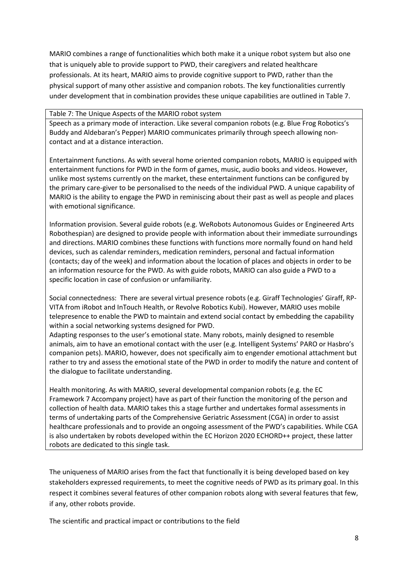MARIO combines a range of functionalities which both make it a unique robot system but also one that is uniquely able to provide support to PWD, their caregivers and related healthcare professionals. At its heart, MARIO aims to provide cognitive support to PWD, rather than the physical support of many other assistive and companion robots. The key functionalities currently under development that in combination provides these unique capabilities are outlined in Table 7.

#### Table 7: The Unique Aspects of the MARIO robot system

Speech as a primary mode of interaction. Like several companion robots (e.g. Blue Frog Robotics's Buddy and Aldebaran's Pepper) MARIO communicates primarily through speech allowing noncontact and at a distance interaction.

Entertainment functions. As with several home oriented companion robots, MARIO is equipped with entertainment functions for PWD in the form of games, music, audio books and videos. However, unlike most systems currently on the market, these entertainment functions can be configured by the primary care-giver to be personalised to the needs of the individual PWD. A unique capability of MARIO is the ability to engage the PWD in reminiscing about their past as well as people and places with emotional significance.

Information provision. Several guide robots (e.g. WeRobots Autonomous Guides or Engineered Arts Robothespian) are designed to provide people with information about their immediate surroundings and directions. MARIO combines these functions with functions more normally found on hand held devices, such as calendar reminders, medication reminders, personal and factual information (contacts; day of the week) and information about the location of places and objects in order to be an information resource for the PWD. As with guide robots, MARIO can also guide a PWD to a specific location in case of confusion or unfamiliarity.

Social connectedness: There are several virtual presence robots (e.g. Giraff Technologies' Giraff, RP-VITA from iRobot and InTouch Health, or Revolve Robotics Kubi). However, MARIO uses mobile telepresence to enable the PWD to maintain and extend social contact by embedding the capability within a social networking systems designed for PWD.

Adapting responses to the user's emotional state. Many robots, mainly designed to resemble animals, aim to have an emotional contact with the user (e.g. Intelligent Systems' PARO or Hasbro's companion pets). MARIO, however, does not specifically aim to engender emotional attachment but rather to try and assess the emotional state of the PWD in order to modify the nature and content of the dialogue to facilitate understanding.

Health monitoring. As with MARIO, several developmental companion robots (e.g. the EC Framework 7 Accompany project) have as part of their function the monitoring of the person and collection of health data. MARIO takes this a stage further and undertakes formal assessments in terms of undertaking parts of the Comprehensive Geriatric Assessment (CGA) in order to assist healthcare professionals and to provide an ongoing assessment of the PWD's capabilities. While CGA is also undertaken by robots developed within the EC Horizon 2020 ECHORD++ project, these latter robots are dedicated to this single task.

The uniqueness of MARIO arises from the fact that functionally it is being developed based on key stakeholders expressed requirements, to meet the cognitive needs of PWD as its primary goal. In this respect it combines several features of other companion robots along with several features that few, if any, other robots provide.

The scientific and practical impact or contributions to the field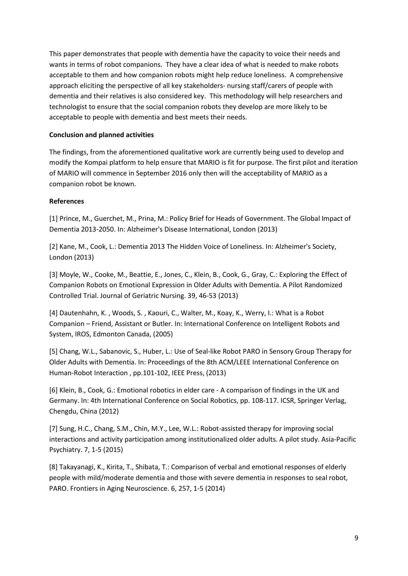This paper demonstrates that people with dementia have the capacity to voice their needs and wants in terms of robot companions. They have a clear idea of what is needed to make robots acceptable to them and how companion robots might help reduce loneliness. A comprehensive approach eliciting the perspective of all key stakeholders- nursing staff/carers of people with dementia and their relatives is also considered key. This methodology will help researchers and technologist to ensure that the social companion robots they develop are more likely to be acceptable to people with dementia and best meets their needs.

#### **Conclusion and planned activities**

The findings, from the aforementioned qualitative work are currently being used to develop and modify the Kompai platform to help ensure that MARIO is fit for purpose. The first pilot and iteration of MARIO will commence in September 2016 only then will the acceptability of MARIO as a companion robot be known.

#### **References**

<span id="page-8-0"></span>[1] Prince, M., Guerchet, M., Prina, M.: Policy Brief for Heads of Government. The Global Impact of Dementia 2013-2050. In: Alzheimer's Disease International, London (2013)

<span id="page-8-1"></span>[2] Kane, M., Cook, L.: Dementia 2013 The Hidden Voice of Loneliness. In: Alzheimer's Society, London (2013)

<span id="page-8-2"></span>[3] Moyle, W., Cooke, M., Beattie, E., Jones, C., Klein, B., Cook, G., Gray, C.: Exploring the Effect of Companion Robots on Emotional Expression in Older Adults with Dementia. A Pilot Randomized Controlled Trial. Journal of Geriatric Nursing. 39, 46-53 (2013)

<span id="page-8-3"></span>[4] Dautenhahn, K. , Woods, S. , Kaouri, C., Walter, M., Koay, K., Werry, I.: What is a Robot Companion – Friend, Assistant or Butler. In: International Conference on Intelligent Robots and System, IROS, Edmonton Canada, (2005)

<span id="page-8-4"></span>[5] Chang, W.L., Sabanovic, S., Huber, L.: Use of Seal-like Robot PARO in Sensory Group Therapy for Older Adults with Dementia. In: Proceedings of the 8th ACM/LEEE International Conference on Human-Robot Interaction , pp.101-102, IEEE Press, (2013)

[6] Klein, B., Cook, G.: Emotional robotics in elder care - A comparison of findings in the UK and Germany. In: 4th International Conference on Social Robotics, pp. 108-117. ICSR, Springer Verlag, Chengdu, China (2012)

[7] Sung, H.C., Chang, S.M., Chin, M.Y., Lee, W.L.: Robot-assisted therapy for improving social interactions and activity participation among institutionalized older adults. A pilot study. Asia-Pacific Psychiatry. 7, 1-5 (2015)

[8] Takayanagi, K., Kirita, T., Shibata, T.: Comparison of verbal and emotional responses of elderly people with mild/moderate dementia and those with severe dementia in responses to seal robot, PARO. Frontiers in Aging Neuroscience. 6, 257, 1-5 (2014)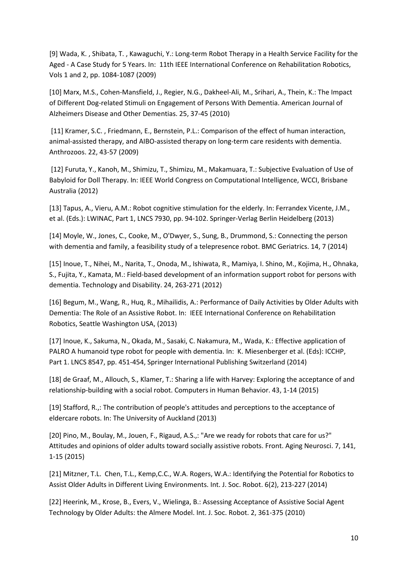[9] Wada, K. , Shibata, T. , Kawaguchi, Y.: Long-term Robot Therapy in a Health Service Facility for the Aged - A Case Study for 5 Years. In: 11th IEEE International Conference on Rehabilitation Robotics, Vols 1 and 2, pp. 1084-1087 (2009)

<span id="page-9-0"></span>[10] Marx, M.S., Cohen-Mansfield, J., Regier, N.G., Dakheel-Ali, M., Srihari, A., Thein, K.: The Impact of Different Dog-related Stimuli on Engagement of Persons With Dementia. American Journal of Alzheimers Disease and Other Dementias. 25, 37-45 (2010)

[11] Kramer, S.C. , Friedmann, E., Bernstein, P.L.: Comparison of the effect of human interaction, animal-assisted therapy, and AIBO-assisted therapy on long-term care residents with dementia. Anthrozoos. 22, 43-57 (2009)

<span id="page-9-1"></span>[12] Furuta, Y., Kanoh, M., Shimizu, T., Shimizu, M., Makamuara, T.: Subjective Evaluation of Use of Babyloid for Doll Therapy. In: IEEE World Congress on Computational Intelligence, WCCI, Brisbane Australia (2012)

<span id="page-9-2"></span>[13] Tapus, A., Vieru, A.M.: Robot cognitive stimulation for the elderly. In: Ferrandex Vicente, J.M., et al. (Eds.): LWINAC, Part 1, LNCS 7930, pp. 94-102. Springer-Verlag Berlin Heidelberg (2013)

<span id="page-9-3"></span>[14] Moyle, W., Jones, C., Cooke, M., O'Dwyer, S., Sung, B., Drummond, S.: Connecting the person with dementia and family, a feasibility study of a telepresence robot. BMC Geriatrics. 14, 7 (2014)

<span id="page-9-4"></span>[15] Inoue, T., Nihei, M., Narita, T., Onoda, M., Ishiwata, R., Mamiya, I. Shino, M., Kojima, H., Ohnaka, S., Fujita, Y., Kamata, M.: Field-based development of an information support robot for persons with dementia. Technology and Disability. 24, 263-271 (2012)

<span id="page-9-5"></span>[16] Begum, M., Wang, R., Huq, R., Mihailidis, A.: Performance of Daily Activities by Older Adults with Dementia: The Role of an Assistive Robot. In: IEEE International Conference on Rehabilitation Robotics, Seattle Washington USA, (2013)

<span id="page-9-6"></span>[17] Inoue, K., Sakuma, N., Okada, M., Sasaki, C. Nakamura, M., Wada, K.: Effective application of PALRO A humanoid type robot for people with dementia. In: K. Miesenberger et al. (Eds): ICCHP, Part 1. LNCS 8547, pp. 451-454, Springer International Publishing Switzerland (2014)

<span id="page-9-7"></span>[18] de Graaf, M., Allouch, S., Klamer, T.: Sharing a life with Harvey: Exploring the acceptance of and relationship-building with a social robot. Computers in Human Behavior. 43, 1-14 (2015)

<span id="page-9-9"></span>[19] Stafford, R.,: The contribution of people's attitudes and perceptions to the acceptance of eldercare robots. In: The University of Auckland (2013)

<span id="page-9-8"></span>[20] Pino, M., Boulay, M., Jouen, F., Rigaud, A.S.,: "Are we ready for robots that care for us?" Attitudes and opinions of older adults toward socially assistive robots. Front. Aging Neurosci. 7, 141, 1-15 (2015)

[21] Mitzner, T.L. Chen, T.L., Kemp,C.C., W.A. Rogers, W.A.: Identifying the Potential for Robotics to Assist Older Adults in Different Living Environments. Int. J. Soc. Robot. 6(2), 213-227 (2014)

[22] Heerink, M., Krose, B., Evers, V., Wielinga, B.: Assessing Acceptance of Assistive Social Agent Technology by Older Adults: the Almere Model. Int. J. Soc. Robot. 2, 361-375 (2010)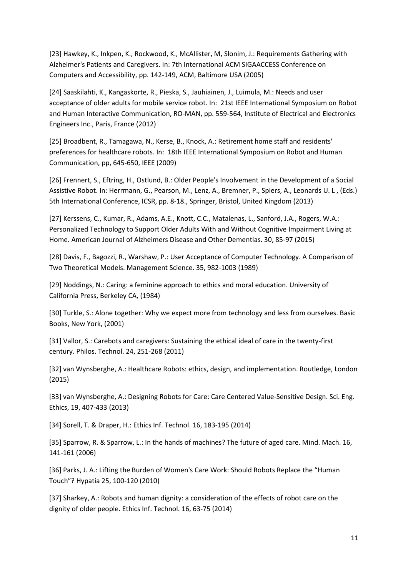<span id="page-10-0"></span>[23] Hawkey, K., Inkpen, K., Rockwood, K., McAllister, M, Slonim, J.: Requirements Gathering with Alzheimer's Patients and Caregivers. In: 7th International ACM SIGAACCESS Conference on Computers and Accessibility, pp. 142-149, ACM, Baltimore USA (2005)

<span id="page-10-1"></span>[24] Saaskilahti, K., Kangaskorte, R., Pieska, S., Jauhiainen, J., Luimula, M.: Needs and user acceptance of older adults for mobile service robot. In: 21st IEEE International Symposium on Robot and Human Interactive Communication, RO-MAN, pp. 559-564, Institute of Electrical and Electronics Engineers Inc., Paris, France (2012)

<span id="page-10-2"></span>[25] Broadbent, R., Tamagawa, N., Kerse, B., Knock, A.: Retirement home staff and residents' preferences for healthcare robots. In: 18th IEEE International Symposium on Robot and Human Communication, pp, 645-650, IEEE (2009)

<span id="page-10-3"></span>[26] Frennert, S., Eftring, H., Ostlund, B.: Older People's Involvement in the Development of a Social Assistive Robot. In: Herrmann, G., Pearson, M., Lenz, A., Bremner, P., Spiers, A., Leonards U. L , (Eds.) 5th International Conference, ICSR, pp. 8-18., Springer, Bristol, United Kingdom (2013)

<span id="page-10-4"></span>[27] Kerssens, C., Kumar, R., Adams, A.E., Knott, C.C., Matalenas, L., Sanford, J.A., Rogers, W.A.: Personalized Technology to Support Older Adults With and Without Cognitive Impairment Living at Home. American Journal of Alzheimers Disease and Other Dementias. 30, 85-97 (2015)

<span id="page-10-5"></span>[28] Davis, F., Bagozzi, R., Warshaw, P.: User Acceptance of Computer Technology. A Comparison of Two Theoretical Models. Management Science. 35, 982-1003 (1989)

<span id="page-10-6"></span>[29] Noddings, N.: Caring: a feminine approach to ethics and moral education. University of California Press, Berkeley CA, (1984)

<span id="page-10-14"></span>[30] Turkle, S.: Alone together: Why we expect more from technology and less from ourselves. Basic Books, New York, (2001)

<span id="page-10-9"></span>[31] Vallor, S.: Carebots and caregivers: Sustaining the ethical ideal of care in the twenty-first century. Philos. Technol. 24, 251-268 (2011)

<span id="page-10-7"></span>[32] van Wynsberghe, A.: Healthcare Robots: ethics, design, and implementation. Routledge, London (2015)

<span id="page-10-10"></span><span id="page-10-8"></span>[33] van Wynsberghe, A.: Designing Robots for Care: Care Centered Value-Sensitive Design. Sci. Eng. Ethics, 19, 407-433 (2013)

<span id="page-10-11"></span>[34] Sorell, T. & Draper, H.: Ethics Inf. Technol. 16, 183-195 (2014)

<span id="page-10-12"></span>[35] Sparrow, R. & Sparrow, L.: In the hands of machines? The future of aged care. Mind. Mach. 16, 141-161 (2006)

<span id="page-10-15"></span>[36] Parks, J. A.: Lifting the Burden of Women's Care Work: Should Robots Replace the "Human Touch"? Hypatia 25, 100-120 (2010)

<span id="page-10-13"></span>[37] Sharkey, A.: Robots and human dignity: a consideration of the effects of robot care on the dignity of older people. Ethics Inf. Technol. 16, 63-75 (2014)